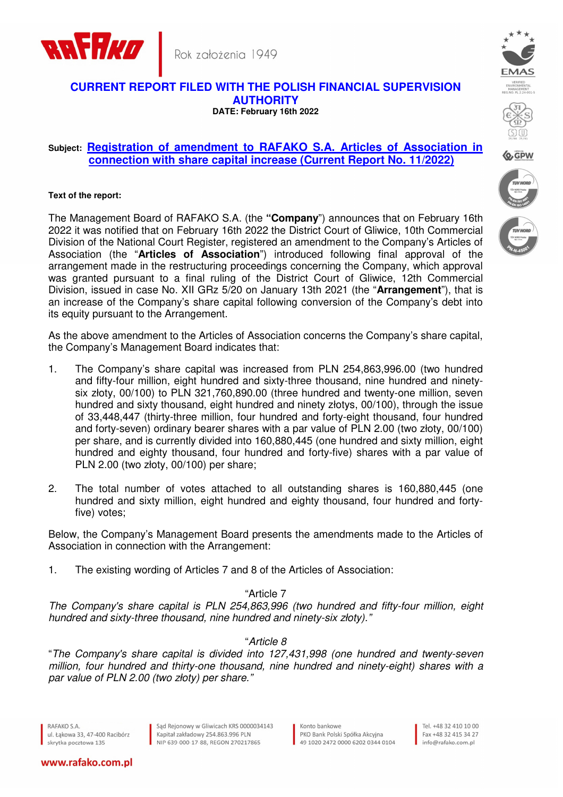



#### **CURRENT REPORT FILED WITH THE POLISH FINANCIAL SUPERVISION AUTHORITY DATE: February 16th 2022**

# **Subject: Registration of amendment to RAFAKO S.A. Articles of Association in connection with share capital increase (Current Report No. 11/2022)**

#### **Text of the report:**

The Management Board of RAFAKO S.A. (the **"Company**") announces that on February 16th 2022 it was notified that on February 16th 2022 the District Court of Gliwice, 10th Commercial Division of the National Court Register, registered an amendment to the Company's Articles of Association (the "**Articles of Association**") introduced following final approval of the arrangement made in the restructuring proceedings concerning the Company, which approval was granted pursuant to a final ruling of the District Court of Gliwice, 12th Commercial Division, issued in case No. XII GRz 5/20 on January 13th 2021 (the "**Arrangement**"), that is an increase of the Company's share capital following conversion of the Company's debt into its equity pursuant to the Arrangement.

As the above amendment to the Articles of Association concerns the Company's share capital, the Company's Management Board indicates that:

- 1. The Company's share capital was increased from PLN 254,863,996.00 (two hundred and fifty-four million, eight hundred and sixty-three thousand, nine hundred and ninetysix złoty, 00/100) to PLN 321,760,890.00 (three hundred and twenty-one million, seven hundred and sixty thousand, eight hundred and ninety złotys, 00/100), through the issue of 33,448,447 (thirty-three million, four hundred and forty-eight thousand, four hundred and forty-seven) ordinary bearer shares with a par value of PLN 2.00 (two złoty, 00/100) per share, and is currently divided into 160,880,445 (one hundred and sixty million, eight hundred and eighty thousand, four hundred and forty-five) shares with a par value of PLN 2.00 (two złoty, 00/100) per share;
- 2. The total number of votes attached to all outstanding shares is 160,880,445 (one hundred and sixty million, eight hundred and eighty thousand, four hundred and fortyfive) votes;

Below, the Company's Management Board presents the amendments made to the Articles of Association in connection with the Arrangement:

1. The existing wording of Articles 7 and 8 of the Articles of Association:

### "Article 7

The Company's share capital is PLN 254,863,996 (two hundred and fifty-four million, eight hundred and sixty-three thousand, nine hundred and ninety-six złoty)."

# "Article 8

"The Company's share capital is divided into 127,431,998 (one hundred and twenty-seven million, four hundred and thirty-one thousand, nine hundred and ninety-eight) shares with a par value of PLN 2.00 (two złoty) per share."

RAFAKO S.A. ul, Łakowa 33, 47-400 Racibórz skrytka pocztowa 135

www.rafako.com.pl

Sąd Rejonowy w Gliwicach KRS 0000034143 Kapitał zakładowy 254.863.996 PLN NIP 639-000-17-88, REGON 270217865